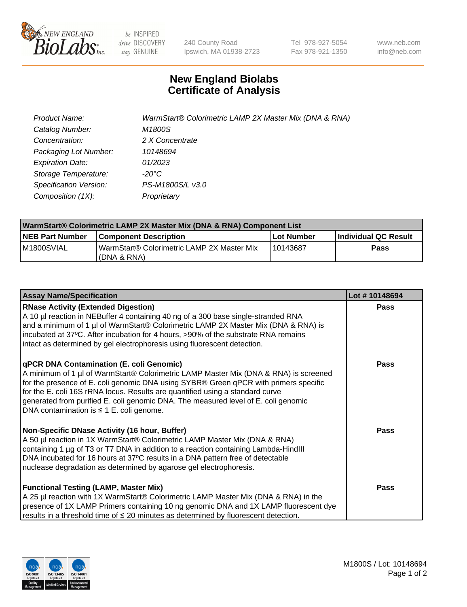

 $be$  INSPIRED drive DISCOVERY stay GENUINE

240 County Road Ipswich, MA 01938-2723 Tel 978-927-5054 Fax 978-921-1350 www.neb.com info@neb.com

## **New England Biolabs Certificate of Analysis**

| Product Name:           | WarmStart® Colorimetric LAMP 2X Master Mix (DNA & RNA) |
|-------------------------|--------------------------------------------------------|
| Catalog Number:         | M1800S                                                 |
| Concentration:          | 2 X Concentrate                                        |
| Packaging Lot Number:   | 10148694                                               |
| <b>Expiration Date:</b> | 01/2023                                                |
| Storage Temperature:    | -20°C                                                  |
| Specification Version:  | PS-M1800S/L v3.0                                       |
| Composition (1X):       | Proprietary                                            |

| WarmStart® Colorimetric LAMP 2X Master Mix (DNA & RNA) Component List |                                                              |            |                             |  |  |
|-----------------------------------------------------------------------|--------------------------------------------------------------|------------|-----------------------------|--|--|
| <b>NEB Part Number</b>                                                | <b>Component Description</b>                                 | Lot Number | <b>Individual QC Result</b> |  |  |
| M1800SVIAL                                                            | WarmStart® Colorimetric LAMP 2X Master Mix<br>l (DNA & RNA). | 10143687   | <b>Pass</b>                 |  |  |

| <b>Assay Name/Specification</b>                                                                                                                                                                                                                                                                                                                                                                                                                  | Lot #10148694 |
|--------------------------------------------------------------------------------------------------------------------------------------------------------------------------------------------------------------------------------------------------------------------------------------------------------------------------------------------------------------------------------------------------------------------------------------------------|---------------|
| <b>RNase Activity (Extended Digestion)</b><br>A 10 µl reaction in NEBuffer 4 containing 40 ng of a 300 base single-stranded RNA<br>and a minimum of 1 µl of WarmStart® Colorimetric LAMP 2X Master Mix (DNA & RNA) is<br>incubated at 37°C. After incubation for 4 hours, >90% of the substrate RNA remains<br>intact as determined by gel electrophoresis using fluorescent detection.                                                          | <b>Pass</b>   |
| qPCR DNA Contamination (E. coli Genomic)<br>A minimum of 1 µl of WarmStart® Colorimetric LAMP Master Mix (DNA & RNA) is screened<br>for the presence of E. coli genomic DNA using SYBR® Green qPCR with primers specific<br>for the E. coli 16S rRNA locus. Results are quantified using a standard curve<br>generated from purified E. coli genomic DNA. The measured level of E. coli genomic<br>DNA contamination is $\leq$ 1 E. coli genome. | Pass          |
| Non-Specific DNase Activity (16 hour, Buffer)<br>A 50 µl reaction in 1X WarmStart® Colorimetric LAMP Master Mix (DNA & RNA)<br>containing 1 µg of T3 or T7 DNA in addition to a reaction containing Lambda-HindIII<br>DNA incubated for 16 hours at 37°C results in a DNA pattern free of detectable<br>nuclease degradation as determined by agarose gel electrophoresis.                                                                       | Pass          |
| <b>Functional Testing (LAMP, Master Mix)</b><br>A 25 µl reaction with 1X WarmStart® Colorimetric LAMP Master Mix (DNA & RNA) in the<br>presence of 1X LAMP Primers containing 10 ng genomic DNA and 1X LAMP fluorescent dye<br>results in a threshold time of $\leq 20$ minutes as determined by fluorescent detection.                                                                                                                          | <b>Pass</b>   |